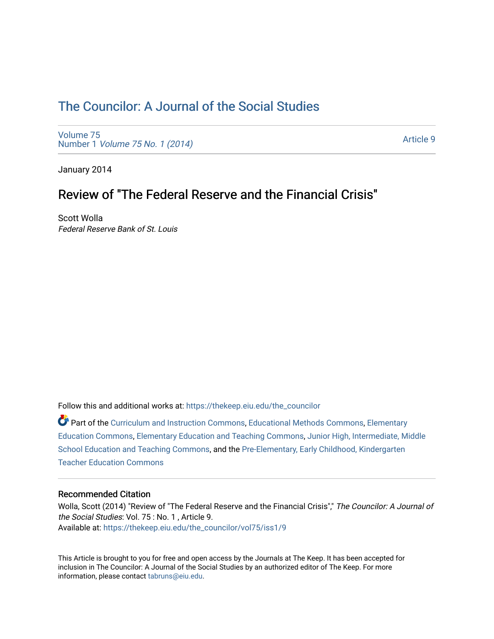## [The Councilor: A Journal of the Social Studies](https://thekeep.eiu.edu/the_councilor)

[Volume 75](https://thekeep.eiu.edu/the_councilor/vol75) Number 1 [Volume 75 No. 1 \(2014\)](https://thekeep.eiu.edu/the_councilor/vol75/iss1) 

[Article 9](https://thekeep.eiu.edu/the_councilor/vol75/iss1/9) 

January 2014

## Review of "The Federal Reserve and the Financial Crisis"

Scott Wolla Federal Reserve Bank of St. Louis

Follow this and additional works at: [https://thekeep.eiu.edu/the\\_councilor](https://thekeep.eiu.edu/the_councilor?utm_source=thekeep.eiu.edu%2Fthe_councilor%2Fvol75%2Fiss1%2F9&utm_medium=PDF&utm_campaign=PDFCoverPages)

Part of the [Curriculum and Instruction Commons,](http://network.bepress.com/hgg/discipline/786?utm_source=thekeep.eiu.edu%2Fthe_councilor%2Fvol75%2Fiss1%2F9&utm_medium=PDF&utm_campaign=PDFCoverPages) [Educational Methods Commons,](http://network.bepress.com/hgg/discipline/1227?utm_source=thekeep.eiu.edu%2Fthe_councilor%2Fvol75%2Fiss1%2F9&utm_medium=PDF&utm_campaign=PDFCoverPages) [Elementary](http://network.bepress.com/hgg/discipline/1378?utm_source=thekeep.eiu.edu%2Fthe_councilor%2Fvol75%2Fiss1%2F9&utm_medium=PDF&utm_campaign=PDFCoverPages) [Education Commons,](http://network.bepress.com/hgg/discipline/1378?utm_source=thekeep.eiu.edu%2Fthe_councilor%2Fvol75%2Fiss1%2F9&utm_medium=PDF&utm_campaign=PDFCoverPages) [Elementary Education and Teaching Commons,](http://network.bepress.com/hgg/discipline/805?utm_source=thekeep.eiu.edu%2Fthe_councilor%2Fvol75%2Fiss1%2F9&utm_medium=PDF&utm_campaign=PDFCoverPages) [Junior High, Intermediate, Middle](http://network.bepress.com/hgg/discipline/807?utm_source=thekeep.eiu.edu%2Fthe_councilor%2Fvol75%2Fiss1%2F9&utm_medium=PDF&utm_campaign=PDFCoverPages)  [School Education and Teaching Commons,](http://network.bepress.com/hgg/discipline/807?utm_source=thekeep.eiu.edu%2Fthe_councilor%2Fvol75%2Fiss1%2F9&utm_medium=PDF&utm_campaign=PDFCoverPages) and the [Pre-Elementary, Early Childhood, Kindergarten](http://network.bepress.com/hgg/discipline/808?utm_source=thekeep.eiu.edu%2Fthe_councilor%2Fvol75%2Fiss1%2F9&utm_medium=PDF&utm_campaign=PDFCoverPages) [Teacher Education Commons](http://network.bepress.com/hgg/discipline/808?utm_source=thekeep.eiu.edu%2Fthe_councilor%2Fvol75%2Fiss1%2F9&utm_medium=PDF&utm_campaign=PDFCoverPages) 

## Recommended Citation

Wolla, Scott (2014) "Review of "The Federal Reserve and the Financial Crisis"," The Councilor: A Journal of the Social Studies: Vol. 75 : No. 1 , Article 9. Available at: [https://thekeep.eiu.edu/the\\_councilor/vol75/iss1/9](https://thekeep.eiu.edu/the_councilor/vol75/iss1/9?utm_source=thekeep.eiu.edu%2Fthe_councilor%2Fvol75%2Fiss1%2F9&utm_medium=PDF&utm_campaign=PDFCoverPages)

This Article is brought to you for free and open access by the Journals at The Keep. It has been accepted for inclusion in The Councilor: A Journal of the Social Studies by an authorized editor of The Keep. For more information, please contact [tabruns@eiu.edu](mailto:tabruns@eiu.edu).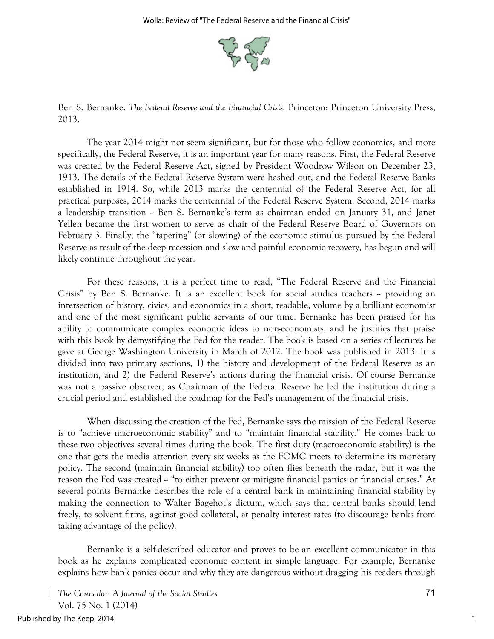

Ben S. Bernanke. *The Federal Reserve and the Financial Crisis.* Princeton: Princeton University Press, 2013.

The year 2014 might not seem significant, but for those who follow economics, and more specifically, the Federal Reserve, it is an important year for many reasons. First, the Federal Reserve was created by the Federal Reserve Act, signed by President Woodrow Wilson on December 23, 1913. The details of the Federal Reserve System were hashed out, and the Federal Reserve Banks established in 1914. So, while 2013 marks the centennial of the Federal Reserve Act, for all practical purposes, 2014 marks the centennial of the Federal Reserve System. Second, 2014 marks a leadership transition  $\sim$  Ben S. Bernanke's term as chairman ended on January 31, and Janet Yellen became the first women to serve as chair of the Federal Reserve Board of Governors on February 3. Finally, the "tapering" (or slowing) of the economic stimulus pursued by the Federal Reserve as result of the deep recession and slow and painful economic recovery, has begun and will likely continue throughout the year.

For these reasons, it is a perfect time to read, "The Federal Reserve and the Financial Crisis" by Ben S. Bernanke. It is an excellent book for social studies teachers  $\sim$  providing an intersection of history, civics, and economics in a short, readable, volume by a brilliant economist and one of the most significant public servants of our time. Bernanke has been praised for his ability to communicate complex economic ideas to non-economists, and he justifies that praise with this book by demystifying the Fed for the reader. The book is based on a series of lectures he gave at George Washington University in March of 2012. The book was published in 2013. It is divided into two primary sections, 1) the history and development of the Federal Reserve as an institution, and 2) the Federal Reserve's actions during the financial crisis. Of course Bernanke was not a passive observer, as Chairman of the Federal Reserve he led the institution during a crucial period and established the roadmap for the Fed's management of the financial crisis.

When discussing the creation of the Fed, Bernanke says the mission of the Federal Reserve is to "achieve macroeconomic stability" and to "maintain financial stability." He comes back to these two objectives several times during the book. The first duty (macroeconomic stability) is the one that gets the media attention every six weeks as the FOMC meets to determine its monetary policy. The second (maintain financial stability) too often flies beneath the radar, but it was the reason the Fed was created  $\sim$  "to either prevent or mitigate financial panics or financial crises." At several points Bernanke describes the role of a central bank in maintaining financial stability by making the connection to Walter Bagehot's dictum, which says that central banks should lend freely, to solvent firms, against good collateral, at penalty interest rates (to discourage banks from taking advantage of the policy).

Bernanke is a self-described educator and proves to be an excellent communicator in this book as he explains complicated economic content in simple language. For example, Bernanke explains how bank panics occur and why they are dangerous without dragging his readers through

*The Councilor: A Journal of the Social Studies* Vol. 75 No. 1 (2014)

1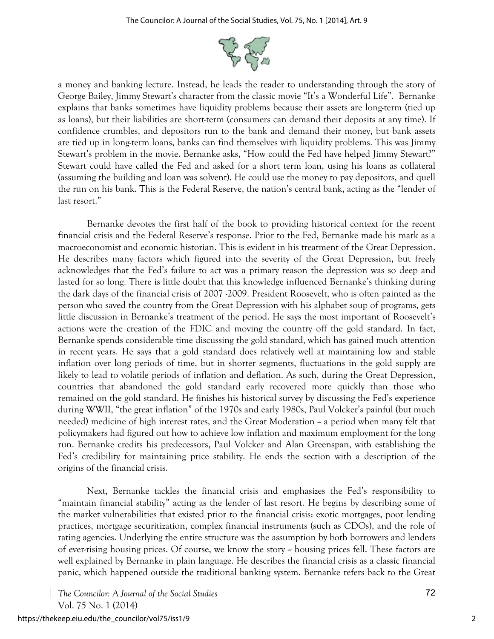

a money and banking lecture. Instead, he leads the reader to understanding through the story of George Bailey, Jimmy Stewart's character from the classic movie "It's a Wonderful Life". Bernanke explains that banks sometimes have liquidity problems because their assets are long-term (tied up as loans), but their liabilities are short-term (consumers can demand their deposits at any time). If confidence crumbles, and depositors run to the bank and demand their money, but bank assets are tied up in long-term loans, banks can find themselves with liquidity problems. This was Jimmy Stewart's problem in the movie. Bernanke asks, "How could the Fed have helped Jimmy Stewart?" Stewart could have called the Fed and asked for a short term loan, using his loans as collateral (assuming the building and loan was solvent). He could use the money to pay depositors, and quell the run on his bank. This is the Federal Reserve, the nation's central bank, acting as the "lender of last resort."

Bernanke devotes the first half of the book to providing historical context for the recent financial crisis and the Federal Reserve's response. Prior to the Fed, Bernanke made his mark as a macroeconomist and economic historian. This is evident in his treatment of the Great Depression. He describes many factors which figured into the severity of the Great Depression, but freely acknowledges that the Fed's failure to act was a primary reason the depression was so deep and lasted for so long. There is little doubt that this knowledge influenced Bernanke's thinking during the dark days of the financial crisis of 2007 -2009. President Roosevelt, who is often painted as the person who saved the country from the Great Depression with his alphabet soup of programs, gets little discussion in Bernanke's treatment of the period. He says the most important of Roosevelt's actions were the creation of the FDIC and moving the country off the gold standard. In fact, Bernanke spends considerable time discussing the gold standard, which has gained much attention in recent years. He says that a gold standard does relatively well at maintaining low and stable inflation over long periods of time, but in shorter segments, fluctuations in the gold supply are likely to lead to volatile periods of inflation and deflation. As such, during the Great Depression, countries that abandoned the gold standard early recovered more quickly than those who remained on the gold standard. He finishes his historical survey by discussing the Fed's experience during WWII, "the great inflation" of the 1970s and early 1980s, Paul Volcker's painful (but much needed) medicine of high interest rates, and the Great Moderation - a period when many felt that policymakers had figured out how to achieve low inflation and maximum employment for the long run. Bernanke credits his predecessors, Paul Volcker and Alan Greenspan, with establishing the Fed's credibility for maintaining price stability. He ends the section with a description of the origins of the financial crisis.

Next, Bernanke tackles the financial crisis and emphasizes the Fed's responsibility to "maintain financial stability" acting as the lender of last resort. He begins by describing some of the market vulnerabilities that existed prior to the financial crisis: exotic mortgages, poor lending practices, mortgage securitization, complex financial instruments (such as CDOs), and the role of rating agencies. Underlying the entire structure was the assumption by both borrowers and lenders of ever-rising housing prices. Of course, we know the story -- housing prices fell. These factors are well explained by Bernanke in plain language. He describes the financial crisis as a classic financial panic, which happened outside the traditional banking system. Bernanke refers back to the Great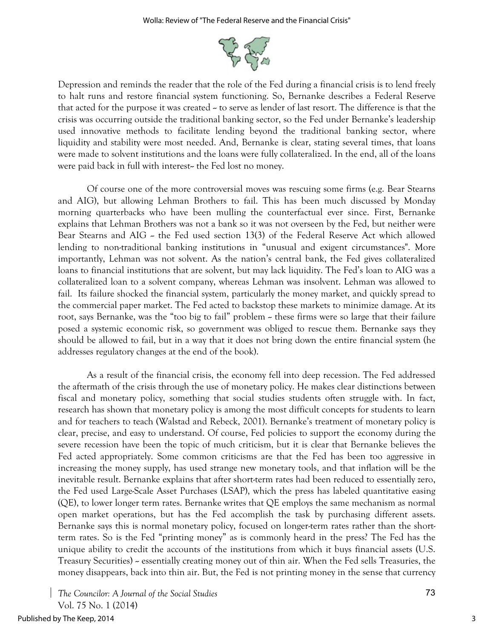

Depression and reminds the reader that the role of the Fed during a financial crisis is to lend freely to halt runs and restore financial system functioning. So, Bernanke describes a Federal Reserve that acted for the purpose it was created  $\sim$  to serve as lender of last resort. The difference is that the crisis was occurring outside the traditional banking sector, so the Fed under Bernanke's leadership used innovative methods to facilitate lending beyond the traditional banking sector, where liquidity and stability were most needed. And, Bernanke is clear, stating several times, that loans were made to solvent institutions and the loans were fully collateralized. In the end, all of the loans were paid back in full with interest-- the Fed lost no money.

Of course one of the more controversial moves was rescuing some firms (e.g. Bear Stearns and AIG), but allowing Lehman Brothers to fail. This has been much discussed by Monday morning quarterbacks who have been mulling the counterfactual ever since. First, Bernanke explains that Lehman Brothers was not a bank so it was not overseen by the Fed, but neither were Bear Stearns and AIG  $\sim$  the Fed used section 13(3) of the Federal Reserve Act which allowed lending to non-traditional banking institutions in "unusual and exigent circumstances". More importantly, Lehman was not solvent. As the nation's central bank, the Fed gives collateralized loans to financial institutions that are solvent, but may lack liquidity. The Fed's loan to AIG was a collateralized loan to a solvent company, whereas Lehman was insolvent. Lehman was allowed to fail. Its failure shocked the financial system, particularly the money market, and quickly spread to the commercial paper market. The Fed acted to backstop these markets to minimize damage. At its root, says Bernanke, was the "too big to fail" problem -- these firms were so large that their failure posed a systemic economic risk, so government was obliged to rescue them. Bernanke says they should be allowed to fail, but in a way that it does not bring down the entire financial system (he addresses regulatory changes at the end of the book).

As a result of the financial crisis, the economy fell into deep recession. The Fed addressed the aftermath of the crisis through the use of monetary policy. He makes clear distinctions between fiscal and monetary policy, something that social studies students often struggle with. In fact, research has shown that monetary policy is among the most difficult concepts for students to learn and for teachers to teach (Walstad and Rebeck, 2001). Bernanke's treatment of monetary policy is clear, precise, and easy to understand. Of course, Fed policies to support the economy during the severe recession have been the topic of much criticism, but it is clear that Bernanke believes the Fed acted appropriately. Some common criticisms are that the Fed has been too aggressive in increasing the money supply, has used strange new monetary tools, and that inflation will be the inevitable result. Bernanke explains that after short-term rates had been reduced to essentially zero, the Fed used Large-Scale Asset Purchases (LSAP), which the press has labeled quantitative easing (QE), to lower longer term rates. Bernanke writes that QE employs the same mechanism as normal open market operations, but has the Fed accomplish the task by purchasing different assets. Bernanke says this is normal monetary policy, focused on longer-term rates rather than the shortterm rates. So is the Fed "printing money" as is commonly heard in the press? The Fed has the unique ability to credit the accounts of the institutions from which it buys financial assets (U.S. Treasury Securities)  $\sim$  essentially creating money out of thin air. When the Fed sells Treasuries, the money disappears, back into thin air. But, the Fed is not printing money in the sense that currency

*The Councilor: A Journal of the Social Studies* Vol. 75 No. 1 (2014)

3